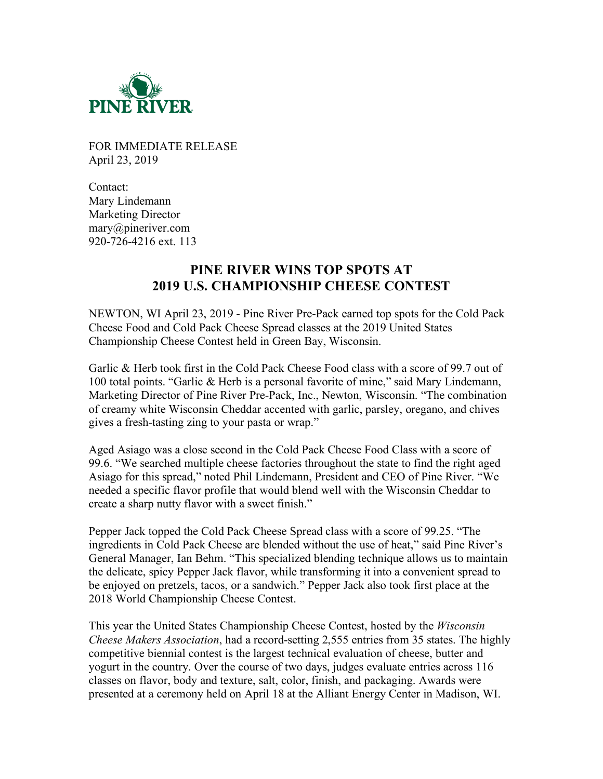

FOR IMMEDIATE RELEASE April 23, 2019

Contact: Mary Lindemann Marketing Director mary@pineriver.com 920-726-4216 ext. 113

## **PINE RIVER WINS TOP SPOTS AT 2019 U.S. CHAMPIONSHIP CHEESE CONTEST**

NEWTON, WI April 23, 2019 - Pine River Pre-Pack earned top spots for the Cold Pack Cheese Food and Cold Pack Cheese Spread classes at the 2019 United States Championship Cheese Contest held in Green Bay, Wisconsin.

Garlic & Herb took first in the Cold Pack Cheese Food class with a score of 99.7 out of 100 total points. "Garlic & Herb is a personal favorite of mine," said Mary Lindemann, Marketing Director of Pine River Pre-Pack, Inc., Newton, Wisconsin. "The combination of creamy white Wisconsin Cheddar accented with garlic, parsley, oregano, and chives gives a fresh-tasting zing to your pasta or wrap."

Aged Asiago was a close second in the Cold Pack Cheese Food Class with a score of 99.6. "We searched multiple cheese factories throughout the state to find the right aged Asiago for this spread," noted Phil Lindemann, President and CEO of Pine River. "We needed a specific flavor profile that would blend well with the Wisconsin Cheddar to create a sharp nutty flavor with a sweet finish."

Pepper Jack topped the Cold Pack Cheese Spread class with a score of 99.25. "The ingredients in Cold Pack Cheese are blended without the use of heat," said Pine River's General Manager, Ian Behm. "This specialized blending technique allows us to maintain the delicate, spicy Pepper Jack flavor, while transforming it into a convenient spread to be enjoyed on pretzels, tacos, or a sandwich." Pepper Jack also took first place at the 2018 World Championship Cheese Contest.

This year the United States Championship Cheese Contest, hosted by the *Wisconsin Cheese Makers Association*, had a record-setting 2,555 entries from 35 states. The highly competitive biennial contest is the largest technical evaluation of cheese, butter and yogurt in the country. Over the course of two days, judges evaluate entries across 116 classes on flavor, body and texture, salt, color, finish, and packaging. Awards were presented at a ceremony held on April 18 at the Alliant Energy Center in Madison, WI.